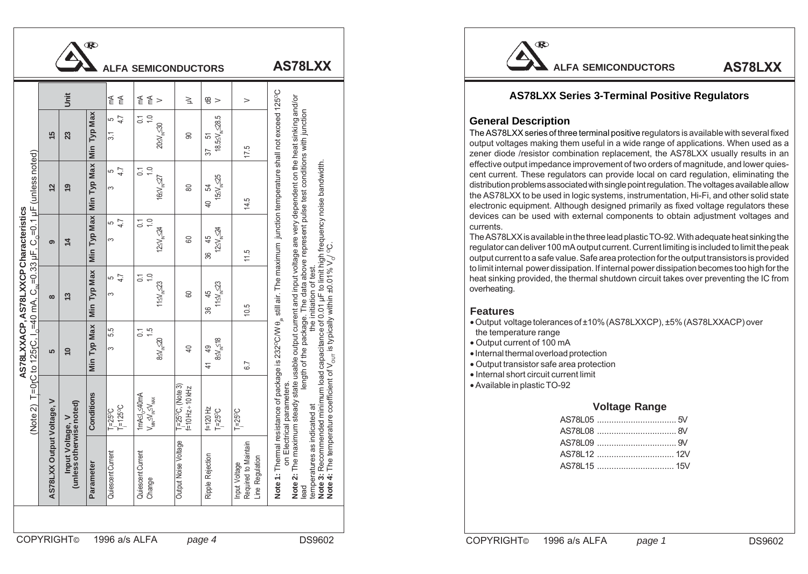|                                                                                                                                                                                       |                          |                                                                                |                       |                                    | <b>ALFA SEMICONDUCTORS</b>                                                                                               |                                                    |                                                                    |                                                          | AS78LXX                                                                                                                                                                                                                                                                                                                                                                                                                                                                      |
|---------------------------------------------------------------------------------------------------------------------------------------------------------------------------------------|--------------------------|--------------------------------------------------------------------------------|-----------------------|------------------------------------|--------------------------------------------------------------------------------------------------------------------------|----------------------------------------------------|--------------------------------------------------------------------|----------------------------------------------------------|------------------------------------------------------------------------------------------------------------------------------------------------------------------------------------------------------------------------------------------------------------------------------------------------------------------------------------------------------------------------------------------------------------------------------------------------------------------------------|
|                                                                                                                                                                                       |                          | jnit                                                                           |                       |                                    | $E \n\leq 5$                                                                                                             | $\geq$                                             | $\frac{a}{c}$                                                      | $\,>$                                                    |                                                                                                                                                                                                                                                                                                                                                                                                                                                                              |
|                                                                                                                                                                                       | 15                       | 23                                                                             | Max<br>Тур<br>Min     | $\frac{14}{9}$<br>$\overline{3.1}$ | $\frac{1}{1}$ .0<br>$20 \leq V_{\text{N}} \leq 30$                                                                       | $\mathsf{S}$                                       | $\frac{37}{18.55\text{V}}\substack{51 \\ \text{m} < 28.5}$<br>57   | 17.5                                                     |                                                                                                                                                                                                                                                                                                                                                                                                                                                                              |
| (unless noted)<br>AS78LXXACP,AS78LXXCP Characteristics<br>C to 125rC, I <sub>o</sub> =40 mA, C <sub>a</sub> =0.33 µF, C <sub>o</sub> =0.1 µF<br>$=0IC$<br>Н<br>(Note 2)<br>COPYRIGHT© | $\frac{2}{3}$            | $\overline{6}$                                                                 | Max<br>Тур<br>Min     | 7.4<br>$\infty$                    | $\frac{1}{2}$ . 0<br>$16 \leq V_{\text{in}} \leq 27$                                                                     | $\pmb{\mathbb{S}}$                                 | $15 \leq V_{\text{in}} \leq 25$<br>54<br>$\ominus$                 | 14.5                                                     | junction temperature shall not exceed 125°C<br>state usable output current and input voltage are very dependent on the heat sinking and/or<br>length of the package. The data above represent pulse test conditions with junction<br><b>Note 1:</b> Thermal resistance of package is 232°C/W $\theta_p$ still air. The maximum junction temperature shot 2: The maximum steady state usable output current and input voltage are very dependent on the lead expression inter |
|                                                                                                                                                                                       | ၜ                        | $\overline{4}$                                                                 | Max<br>Гур<br>Min     | $\frac{5}{4}$<br>$\sim$            | $\frac{0}{1}$<br>$\overline{C}$<br>$125V_{\text{N}}$ $24$                                                                | 8                                                  | $120$ 45<br>$120$ $\frac{45}{124}$<br>36                           | 11.5                                                     |                                                                                                                                                                                                                                                                                                                                                                                                                                                                              |
|                                                                                                                                                                                       | $\infty$                 | $\frac{3}{2}$                                                                  | Typ Max<br>Min        | $\frac{1}{4}$<br> ო                | $\frac{0}{1}$<br>$\overline{C}$<br>$11\leq V_{\rm in}$ $\leq$ 23                                                         | $\mathsf{60}$                                      | $11 \leq V_{\rm in} \leq 23$<br>45<br>36                           | 10.5                                                     |                                                                                                                                                                                                                                                                                                                                                                                                                                                                              |
|                                                                                                                                                                                       | LO.                      | $\overline{1}$                                                                 | <b>Typ Max</b><br>Min | 5.5<br> <br>$\infty$               | 7.5<br>$8 \leq V_{\text{N}} \leq 20$                                                                                     | $\overline{4}$                                     | $8 \leq V_{\text{in}} \leq 18$<br>$\overline{49}$<br>$\frac{4}{1}$ | 6.7                                                      |                                                                                                                                                                                                                                                                                                                                                                                                                                                                              |
|                                                                                                                                                                                       | ><br>Voltage,            | put Voltage, V<br>s otherwise noted)<br>ssə <sub>l</sub> un)<br><sup>İul</sup> | Conditions            | $\frac{1}{2} = 25^{\circ}C$        | $1 \text{mA} \leq l_0 \leq 40 \text{mA}$<br>$\text{V}_{\text{MIN}} \leq \text{V}_{\text{IN}} \leq \text{V}_{\text{MIN}}$ | $T_1 = 25^{\circ}C$ , (Note 3)<br>f=10 Hz + 10 kHz | $F = 120$ Hz<br>$T = 25$ °C                                        | $T = 25^{\circ}C$                                        |                                                                                                                                                                                                                                                                                                                                                                                                                                                                              |
|                                                                                                                                                                                       | Output<br><b>AS78LXX</b> |                                                                                | Parameter             | Quiescent Current                  | Quiescent Current<br>Change                                                                                              | Output Noise Voltage                               | Ripple Rejection                                                   | Input Voltage<br>Required to Maintain<br>Line Regulation |                                                                                                                                                                                                                                                                                                                                                                                                                                                                              |
|                                                                                                                                                                                       |                          |                                                                                |                       |                                    | 1996 a/s ALFA                                                                                                            |                                                    | page 4                                                             |                                                          | DS9602                                                                                                                                                                                                                                                                                                                                                                                                                                                                       |

# $\mathbf R$

# **AS78LXX Series 3-Terminal Positive Regulators**

## **General Description**

### **Features**

- the temperature range
- Output current of 100 mA
- Internal thermal overload protection
- Output transistor safe area protection
- Internal short circuit current limit
- Available in plastic TO-92

### **Voltage Range**

| AS781 15 |  |
|----------|--|